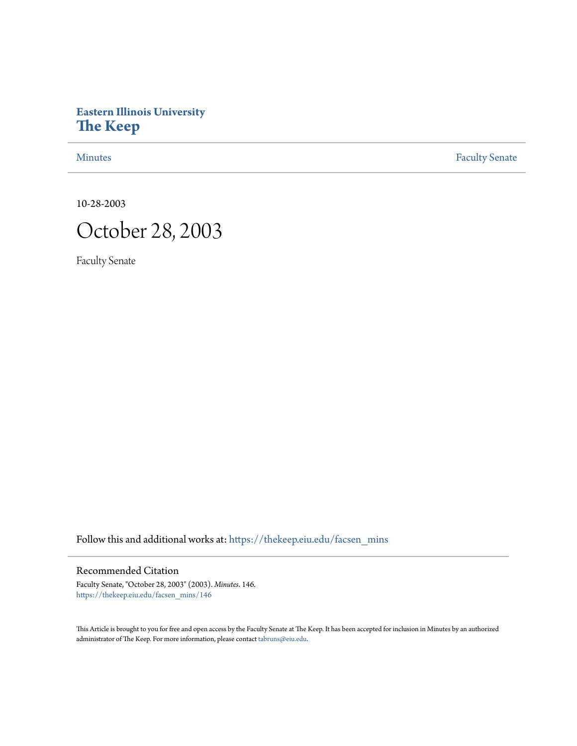# **Eastern Illinois University [The Keep](https://thekeep.eiu.edu?utm_source=thekeep.eiu.edu%2Ffacsen_mins%2F146&utm_medium=PDF&utm_campaign=PDFCoverPages)**

[Minutes](https://thekeep.eiu.edu/facsen_mins?utm_source=thekeep.eiu.edu%2Ffacsen_mins%2F146&utm_medium=PDF&utm_campaign=PDFCoverPages) **[Faculty Senate](https://thekeep.eiu.edu/fac_senate?utm_source=thekeep.eiu.edu%2Ffacsen_mins%2F146&utm_medium=PDF&utm_campaign=PDFCoverPages)** 

10-28-2003



Faculty Senate

Follow this and additional works at: [https://thekeep.eiu.edu/facsen\\_mins](https://thekeep.eiu.edu/facsen_mins?utm_source=thekeep.eiu.edu%2Ffacsen_mins%2F146&utm_medium=PDF&utm_campaign=PDFCoverPages)

# Recommended Citation

Faculty Senate, "October 28, 2003" (2003). *Minutes*. 146. [https://thekeep.eiu.edu/facsen\\_mins/146](https://thekeep.eiu.edu/facsen_mins/146?utm_source=thekeep.eiu.edu%2Ffacsen_mins%2F146&utm_medium=PDF&utm_campaign=PDFCoverPages)

This Article is brought to you for free and open access by the Faculty Senate at The Keep. It has been accepted for inclusion in Minutes by an authorized administrator of The Keep. For more information, please contact [tabruns@eiu.edu.](mailto:tabruns@eiu.edu)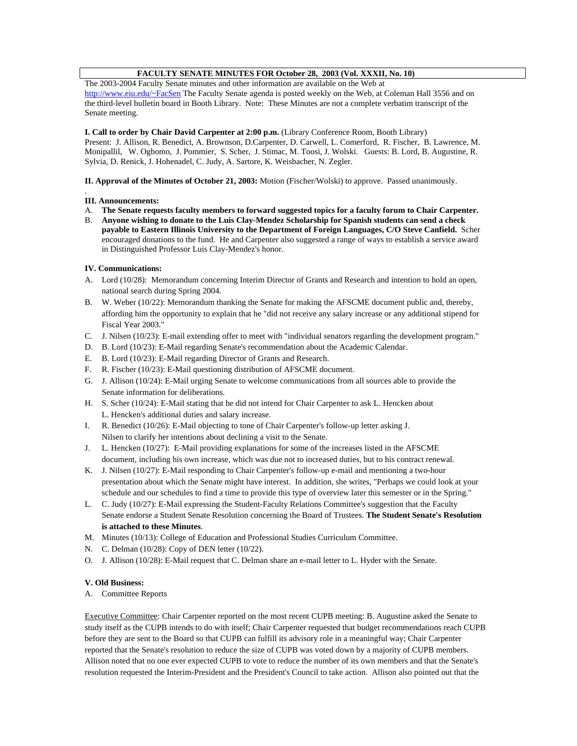# **FACULTY SENATE MINUTES FOR October 28, 2003 (Vol. XXXII, No. 10)**

The 2003-2004 Faculty Senate minutes and other information are available on the Web at http://www.eiu.edu/~FacSen The Faculty Senate agenda is posted weekly on the Web, at Coleman Hall 3556 and on the third-level bulletin board in Booth Library. Note: These Minutes are not a complete verbatim transcript of the Senate meeting.

### **I. Call to order by Chair David Carpenter at 2:00 p.m.** (Library Conference Room, Booth Library)

Present: J. Allison, R. Benedict, A. Brownson, D.Carpenter, D. Carwell, L. Comerford, R. Fischer, B. Lawrence, M. Monipallil, W. Ogbomo, J. Pommier, S. Scher, J. Stimac, M. Toosi, J. Wolski. Guests: B. Lord, B. Augustine, R. Sylvia, D. Renick, J. Hohenadel, C. Judy, A. Sartore, K. Weisbacher, N. Zegler.

**II. Approval of the Minutes of October 21, 2003:** Motion (Fischer/Wolski) to approve. Passed unanimously.

#### . **III. Announcements:**

- A. **The Senate requests faculty members to forward suggested topics for a faculty forum to Chair Carpenter.**
- B. **Anyone wishing to donate to the Luis Clay-Mendez Scholarship for Spanish students can send a check payable to Eastern Illinois University to the Department of Foreign Languages, C/O Steve Canfield.** Scher encouraged donations to the fund. He and Carpenter also suggested a range of ways to establish a service award in Distinguished Professor Luis Clay-Mendez's honor.

### **IV. Communications:**

- A. Lord (10/28): Memorandum concerning Interim Director of Grants and Research and intention to hold an open, national search during Spring 2004.
- B. W. Weber (10/22): Memorandum thanking the Senate for making the AFSCME document public and, thereby, affording him the opportunity to explain that he "did not receive any salary increase or any additional stipend for Fiscal Year 2003."
- C. J. Nilsen (10/23): E-mail extending offer to meet with "individual senators regarding the development program."
- D. B. Lord (10/23): E-Mail regarding Senate's recommendation about the Academic Calendar.
- E. B. Lord (10/23): E-Mail regarding Director of Grants and Research.
- F. R. Fischer (10/23): E-Mail questioning distribution of AFSCME document.
- G. J. Allison (10/24): E-Mail urging Senate to welcome communications from all sources able to provide the Senate information for deliberations.
- H. S. Scher (10/24): E-Mail stating that he did not intend for Chair Carpenter to ask L. Hencken about L. Hencken's additional duties and salary increase.
- I. R. Benedict (10/26): E-Mail objecting to tone of Chair Carpenter's follow-up letter asking J. Nilsen to clarify her intentions about declining a visit to the Senate.
- J. L. Hencken (10/27): E-Mail providing explanations for some of the increases listed in the AFSCME document, including his own increase, which was due not to increased duties, but to his contract renewal.
- K. J. Nilsen (10/27): E-Mail responding to Chair Carpenter's follow-up e-mail and mentioning a two-hour presentation about which the Senate might have interest. In addition, she writes, "Perhaps we could look at your schedule and our schedules to find a time to provide this type of overview later this semester or in the Spring."
- L. C. Judy (10/27): E-Mail expressing the Student-Faculty Relations Committee's suggestion that the Faculty Senate endorse a Student Senate Resolution concerning the Board of Trustees. **The Student Senate's Resolution is attached to these Minutes**.
- M. Minutes (10/13): College of Education and Professional Studies Curriculum Committee.
- N. C. Delman (10/28): Copy of DEN letter (10/22).
- O. J. Allison (10/28): E-Mail request that C. Delman share an e-mail letter to L. Hyder with the Senate.

### **V. Old Business:**

A. Committee Reports

Executive Committee: Chair Carpenter reported on the most recent CUPB meeting: B. Augustine asked the Senate to study itself as the CUPB intends to do with itself; Chair Carpenter requested that budget recommendations reach CUPB before they are sent to the Board so that CUPB can fulfill its advisory role in a meaningful way; Chair Carpenter reported that the Senate's resolution to reduce the size of CUPB was voted down by a majority of CUPB members. Allison noted that no one ever expected CUPB to vote to reduce the number of its own members and that the Senate's resolution requested the Interim-President and the President's Council to take action. Allison also pointed out that the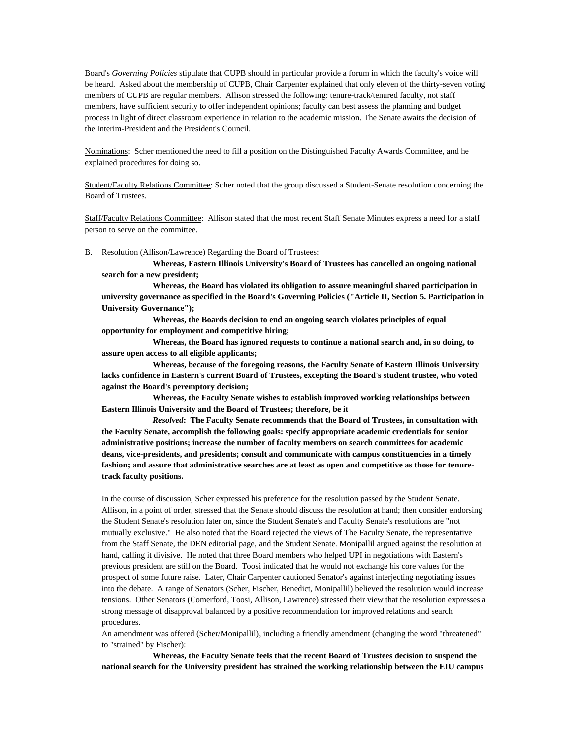Board's *Governing Policies* stipulate that CUPB should in particular provide a forum in which the faculty's voice will be heard. Asked about the membership of CUPB, Chair Carpenter explained that only eleven of the thirty-seven voting members of CUPB are regular members. Allison stressed the following: tenure-track/tenured faculty, not staff members, have sufficient security to offer independent opinions; faculty can best assess the planning and budget process in light of direct classroom experience in relation to the academic mission. The Senate awaits the decision of the Interim-President and the President's Council.

Nominations: Scher mentioned the need to fill a position on the Distinguished Faculty Awards Committee, and he explained procedures for doing so.

Student/Faculty Relations Committee: Scher noted that the group discussed a Student-Senate resolution concerning the Board of Trustees.

Staff/Faculty Relations Committee: Allison stated that the most recent Staff Senate Minutes express a need for a staff person to serve on the committee.

B. Resolution (Allison/Lawrence) Regarding the Board of Trustees:

**Whereas, Eastern Illinois University's Board of Trustees has cancelled an ongoing national search for a new president;**

**Whereas, the Board has violated its obligation to assure meaningful shared participation in university governance as specified in the Board's Governing Policies ("Article II, Section 5. Participation in University Governance");**

**Whereas, the Boards decision to end an ongoing search violates principles of equal opportunity for employment and competitive hiring;**

**Whereas, the Board has ignored requests to continue a national search and, in so doing, to assure open access to all eligible applicants;**

**Whereas, because of the foregoing reasons, the Faculty Senate of Eastern Illinois University lacks confidence in Eastern's current Board of Trustees, excepting the Board's student trustee, who voted against the Board's peremptory decision;**

**Whereas, the Faculty Senate wishes to establish improved working relationships between Eastern Illinois University and the Board of Trustees; therefore, be it**

*Resolved***: The Faculty Senate recommends that the Board of Trustees, in consultation with the Faculty Senate, accomplish the following goals: specify appropriate academic credentials for senior administrative positions; increase the number of faculty members on search committees for academic deans, vice-presidents, and presidents; consult and communicate with campus constituencies in a timely fashion; and assure that administrative searches are at least as open and competitive as those for tenuretrack faculty positions.**

In the course of discussion, Scher expressed his preference for the resolution passed by the Student Senate. Allison, in a point of order, stressed that the Senate should discuss the resolution at hand; then consider endorsing the Student Senate's resolution later on, since the Student Senate's and Faculty Senate's resolutions are "not mutually exclusive." He also noted that the Board rejected the views of The Faculty Senate, the representative from the Staff Senate, the DEN editorial page, and the Student Senate. Monipallil argued against the resolution at hand, calling it divisive. He noted that three Board members who helped UPI in negotiations with Eastern's previous president are still on the Board. Toosi indicated that he would not exchange his core values for the prospect of some future raise. Later, Chair Carpenter cautioned Senator's against interjecting negotiating issues into the debate. A range of Senators (Scher, Fischer, Benedict, Monipallil) believed the resolution would increase tensions. Other Senators (Comerford, Toosi, Allison, Lawrence) stressed their view that the resolution expresses a strong message of disapproval balanced by a positive recommendation for improved relations and search procedures.

An amendment was offered (Scher/Monipallil), including a friendly amendment (changing the word "threatened" to "strained" by Fischer):

**Whereas, the Faculty Senate feels that the recent Board of Trustees decision to suspend the national search for the University president has strained the working relationship between the EIU campus**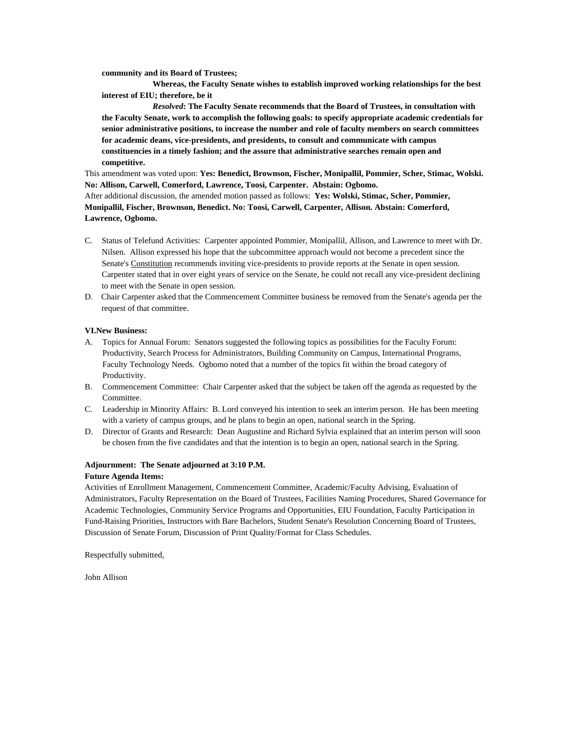**community and its Board of Trustees;**

**Whereas, the Faculty Senate wishes to establish improved working relationships for the best interest of EIU; therefore, be it**

*Resolved***: The Faculty Senate recommends that the Board of Trustees, in consultation with the Faculty Senate, work to accomplish the following goals: to specify appropriate academic credentials for senior administrative positions, to increase the number and role of faculty members on search committees for academic deans, vice-presidents, and presidents, to consult and communicate with campus constituencies in a timely fashion; and the assure that administrative searches remain open and competitive.**

This amendment was voted upon: **Yes: Benedict, Brownson, Fischer, Monipallil, Pommier, Scher, Stimac, Wolski. No: Allison, Carwell, Comerford, Lawrence, Toosi, Carpenter. Abstain: Ogbomo.**

After additional discussion, the amended motion passed as follows: **Yes: Wolski, Stimac, Scher, Pommier, Monipallil, Fischer, Brownson, Benedict. No: Toosi, Carwell, Carpenter, Allison. Abstain: Comerford, Lawrence, Ogbomo.**

- C. Status of Telefund Activities: Carpenter appointed Pommier, Monipallil, Allison, and Lawrence to meet with Dr. Nilsen. Allison expressed his hope that the subcommittee approach would not become a precedent since the Senate's Constitution recommends inviting vice-presidents to provide reports at the Senate in open session. Carpenter stated that in over eight years of service on the Senate, he could not recall any vice-president declining to meet with the Senate in open session.
- D. Chair Carpenter asked that the Commencement Committee business be removed from the Senate's agenda per the request of that committee.

#### **VI.New Business:**

- A. Topics for Annual Forum: Senators suggested the following topics as possibilities for the Faculty Forum: Productivity, Search Process for Administrators, Building Community on Campus, International Programs, Faculty Technology Needs. Ogbomo noted that a number of the topics fit within the broad category of Productivity.
- B. Commencement Committee: Chair Carpenter asked that the subject be taken off the agenda as requested by the **Committee.**
- C. Leadership in Minority Affairs: B. Lord conveyed his intention to seek an interim person. He has been meeting with a variety of campus groups, and he plans to begin an open, national search in the Spring.
- D. Director of Grants and Research: Dean Augustine and Richard Sylvia explained that an interim person will soon be chosen from the five candidates and that the intention is to begin an open, national search in the Spring.

## **Adjournment: The Senate adjourned at 3:10 P.M. Future Agenda Items:**

Activities of Enrollment Management, Commencement Committee, Academic/Faculty Advising, Evaluation of Administrators, Faculty Representation on the Board of Trustees, Facilities Naming Procedures, Shared Governance for Academic Technologies, Community Service Programs and Opportunities, EIU Foundation, Faculty Participation in Fund-Raising Priorities, Instructors with Bare Bachelors, Student Senate's Resolution Concerning Board of Trustees, Discussion of Senate Forum, Discussion of Print Quality/Format for Class Schedules.

Respectfully submitted,

John Allison